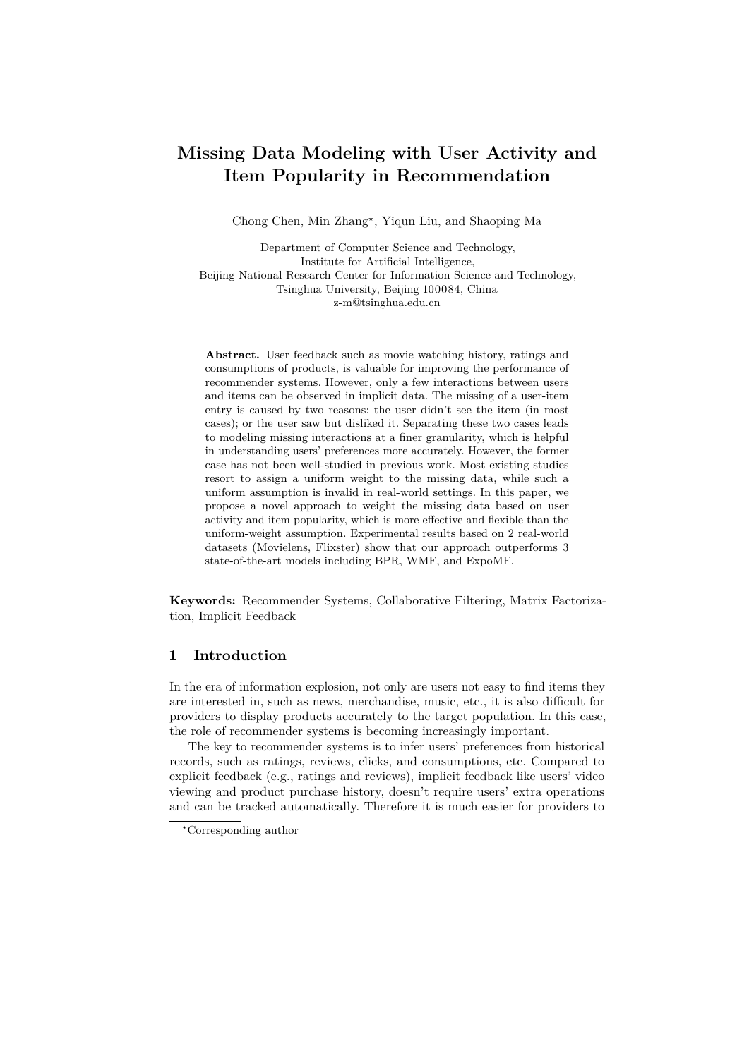# **Missing Data Modeling with User Activity and Item Popularity in Recommendation**

Chong Chen, Min Zhang*<sup>⋆</sup>* , Yiqun Liu, and Shaoping Ma

Department of Computer Science and Technology, Institute for Artificial Intelligence, Beijing National Research Center for Information Science and Technology, Tsinghua University, Beijing 100084, China z-m@tsinghua.edu.cn

**Abstract.** User feedback such as movie watching history, ratings and consumptions of products, is valuable for improving the performance of recommender systems. However, only a few interactions between users and items can be observed in implicit data. The missing of a user-item entry is caused by two reasons: the user didn't see the item (in most cases); or the user saw but disliked it. Separating these two cases leads to modeling missing interactions at a finer granularity, which is helpful in understanding users' preferences more accurately. However, the former case has not been well-studied in previous work. Most existing studies resort to assign a uniform weight to the missing data, while such a uniform assumption is invalid in real-world settings. In this paper, we propose a novel approach to weight the missing data based on user activity and item popularity, which is more effective and flexible than the uniform-weight assumption. Experimental results based on 2 real-world datasets (Movielens, Flixster) show that our approach outperforms 3 state-of-the-art models including BPR, WMF, and ExpoMF.

**Keywords:** Recommender Systems, Collaborative Filtering, Matrix Factorization, Implicit Feedback

## <span id="page-0-0"></span>**1 Introduction**

In the era of information explosion, not only are users not easy to find items they are interested in, such as news, merchandise, music, etc., it is also difficult for providers to display products accurately to the target population. In this case, the role of recommender systems is becoming increasingly important.

The key to recommender systems is to infer users' preferences from historical records, such as ratings, reviews, clicks, and consumptions, etc. Compared to explicit feedback (e.g., ratings and reviews), implicit feedback like users' video viewing and product purchase history, doesn't require users' extra operations and can be tracked automatically. Therefore it is much easier for providers to

*<sup>⋆</sup>*Corresponding author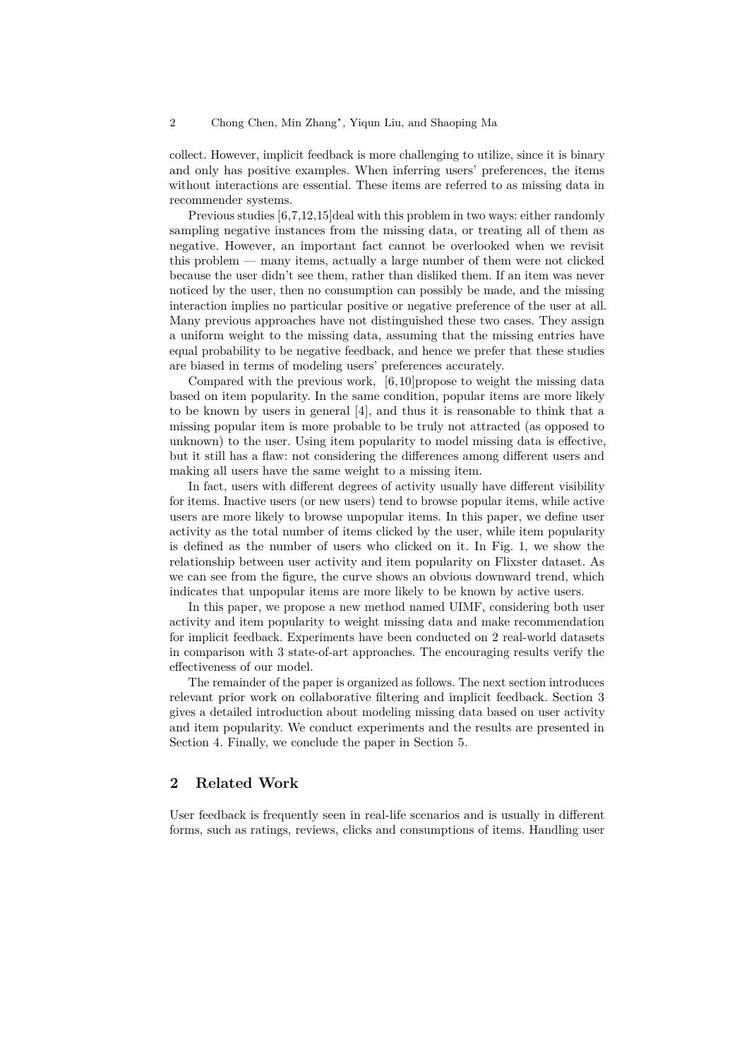collect. However, implicit feedback is more challenging to utilize, since it is binary and only has positive examples. When inferring users' preferences, the items without interactions are essential. These items are referred to as missing data in recommender systems.

Previous studies [\[6,](#page-11-0)[7,](#page-11-1)[12](#page-11-2)[,15\]](#page-12-0)deal with this problem in two ways: either randomly sampling negative instances from the missing data, or treating all of them as negative. However, an important fact cannot be overlooked when we revisit this problem — many items, actually a large number of them were not clicked because the user didn't see them, rather than disliked them. If an item was never noticed by the user, then no consumption can possibly be made, and the missing interaction implies no particular positive or negative preference of the user at all. Many previous approaches have not distinguished these two cases. They assign a uniform weight to the missing data, assuming that the missing entries have equal probability to be negative feedback, and hence we prefer that these studies are biased in terms of modeling users' preferences accurately.

Compared with the previous work,  $[6, 10]$  $[6, 10]$  $[6, 10]$  propose to weight the missing data based on item popularity. In the same condition, popular items are more likely to be known by users in general [\[4\]](#page-11-4), and thus it is reasonable to think that a missing popular item is more probable to be truly not attracted (as opposed to unknown) to the user. Using item popularity to model missing data is effective, but it still has a flaw: not considering the differences among different users and making all users have the same weight to a missing item.

In fact, users with different degrees of activity usually have different visibility for items. Inactive users (or new users) tend to browse popular items, while active users are more likely to browse unpopular items. In this paper, we define user activity as the total number of items clicked by the user, while item popularity is defined as the number of users who clicked on it. In Fig. [1,](#page-2-0) we show the relationship between user activity and item popularity on Flixster dataset. As we can see from the figure, the curve shows an obvious downward trend, which indicates that unpopular items are more likely to be known by active users.

In this paper, we propose a new method named UIMF, considering both user activity and item popularity to weight missing data and make recommendation for implicit feedback. Experiments have been conducted on 2 real-world datasets in comparison with 3 state-of-art approaches. The encouraging results verify the effectiveness of our model.

The remainder of the paper is organized as follows. The next section introduces relevant prior work on collaborative filtering and implicit feedback. Section [3](#page-3-0) gives a detailed introduction about modeling missing data based on user activity and item popularity. We conduct experiments and the results are presented in Section [4.](#page-6-0) Finally, we conclude the paper in Section [5.](#page-10-0)

# **2 Related Work**

User feedback is frequently seen in real-life scenarios and is usually in different forms, such as ratings, reviews, clicks and consumptions of items. Handling user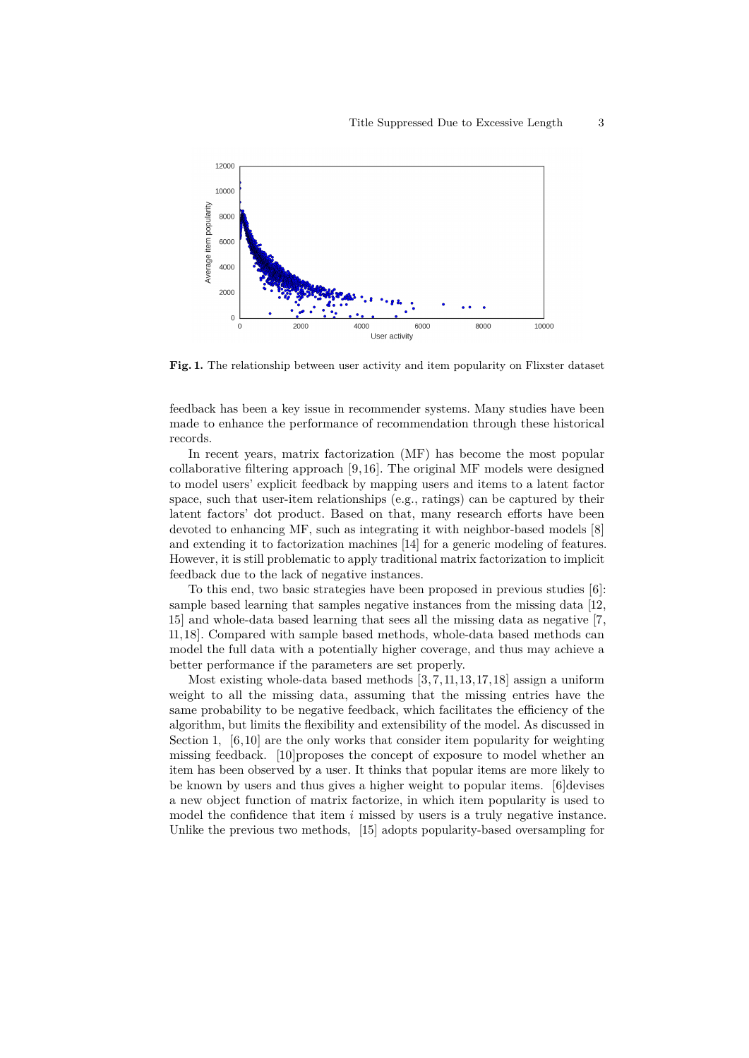<span id="page-2-0"></span>

**Fig. 1.** The relationship between user activity and item popularity on Flixster dataset

feedback has been a key issue in recommender systems. Many studies have been made to enhance the performance of recommendation through these historical records.

In recent years, matrix factorization (MF) has become the most popular collaborative filtering approach [\[9,](#page-11-5) [16\]](#page-12-1). The original MF models were designed to model users' explicit feedback by mapping users and items to a latent factor space, such that user-item relationships (e.g., ratings) can be captured by their latent factors' dot product. Based on that, many research efforts have been devoted to enhancing MF, such as integrating it with neighbor-based models [\[8\]](#page-11-6) and extending it to factorization machines [\[14\]](#page-12-2) for a generic modeling of features. However, it is still problematic to apply traditional matrix factorization to implicit feedback due to the lack of negative instances.

To this end, two basic strategies have been proposed in previous studies [\[6\]](#page-11-0): sample based learning that samples negative instances from the missing data [\[12,](#page-11-2) [15\]](#page-12-0) and whole-data based learning that sees all the missing data as negative [\[7,](#page-11-1) [11,](#page-11-7) [18\]](#page-12-3). Compared with sample based methods, whole-data based methods can model the full data with a potentially higher coverage, and thus may achieve a better performance if the parameters are set properly.

Most existing whole-data based methods [\[3,](#page-11-8) [7,](#page-11-1) [11,](#page-11-7) [13,](#page-11-9) [17,](#page-12-4) [18\]](#page-12-3) assign a uniform weight to all the missing data, assuming that the missing entries have the same probability to be negative feedback, which facilitates the efficiency of the algorithm, but limits the flexibility and extensibility of the model. As discussed in Section [1,](#page-0-0) [\[6,](#page-11-0) [10\]](#page-11-3) are the only works that consider item popularity for weighting missing feedback. [\[10\]](#page-11-3)proposes the concept of exposure to model whether an item has been observed by a user. It thinks that popular items are more likely to be known by users and thus gives a higher weight to popular items. [\[6\]](#page-11-0)devises a new object function of matrix factorize, in which item popularity is used to model the confidence that item  $i$  missed by users is a truly negative instance. Unlike the previous two methods, [\[15\]](#page-12-0) adopts popularity-based oversampling for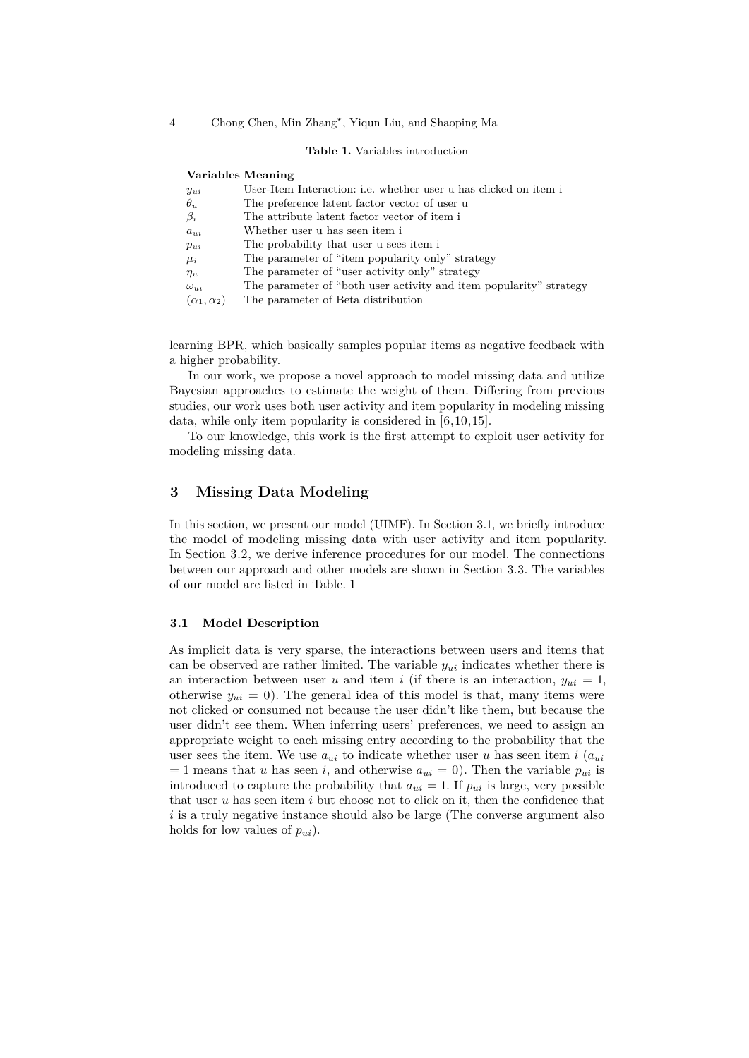| Variables Meaning     |                                                                         |
|-----------------------|-------------------------------------------------------------------------|
| $y_{ui}$              | User-Item Interaction: <i>i.e.</i> whether user u has clicked on item i |
| $\theta_u$            | The preference latent factor vector of user u                           |
| $\beta_i$             | The attribute latent factor vector of item i                            |
| $a_{ui}$              | Whether user u has seen item i                                          |
| $p_{ui}$              | The probability that user u sees item i                                 |
| $\mu_i$               | The parameter of "item popularity only" strategy                        |
| $\eta_u$              | The parameter of "user activity only" strategy                          |
| $\omega_{ui}$         | The parameter of "both user activity and item popularity" strategy      |
| $(\alpha_1,\alpha_2)$ | The parameter of Beta distribution                                      |

| <b>Table 1.</b> Variables introduction |
|----------------------------------------|
|----------------------------------------|

learning BPR, which basically samples popular items as negative feedback with a higher probability.

In our work, we propose a novel approach to model missing data and utilize Bayesian approaches to estimate the weight of them. Differing from previous studies, our work uses both user activity and item popularity in modeling missing data, while only item popularity is considered in [\[6,](#page-11-0) [10,](#page-11-3) [15\]](#page-12-0).

To our knowledge, this work is the first attempt to exploit user activity for modeling missing data.

# <span id="page-3-0"></span>**3 Missing Data Modeling**

In this section, we present our model (UIMF). In Section [3.1,](#page-3-1) we briefly introduce the model of modeling missing data with user activity and item popularity. In Section [3.2,](#page-5-0) we derive inference procedures for our model. The connections between our approach and other models are shown in Section [3.3.](#page-6-1) The variables of our model are listed in Table. [1](#page-3-2)

#### <span id="page-3-1"></span>**3.1 Model Description**

As implicit data is very sparse, the interactions between users and items that can be observed are rather limited. The variable  $y_{ui}$  indicates whether there is an interaction between user u and item i (if there is an interaction,  $y_{ui} = 1$ , otherwise  $y_{ui} = 0$ ). The general idea of this model is that, many items were not clicked or consumed not because the user didn't like them, but because the user didn't see them. When inferring users' preferences, we need to assign an appropriate weight to each missing entry according to the probability that the user sees the item. We use  $a_{ui}$  to indicate whether user u has seen item i  $(a_{ui}$  $= 1$  means that u has seen i, and otherwise  $a_{ui} = 0$ ). Then the variable  $p_{ui}$  is introduced to capture the probability that  $a_{ui} = 1$ . If  $p_{ui}$  is large, very possible that user  $u$  has seen item  $i$  but choose not to click on it, then the confidence that i is a truly negative instance should also be large (The converse argument also holds for low values of  $p_{ui}$ .

<span id="page-3-2"></span>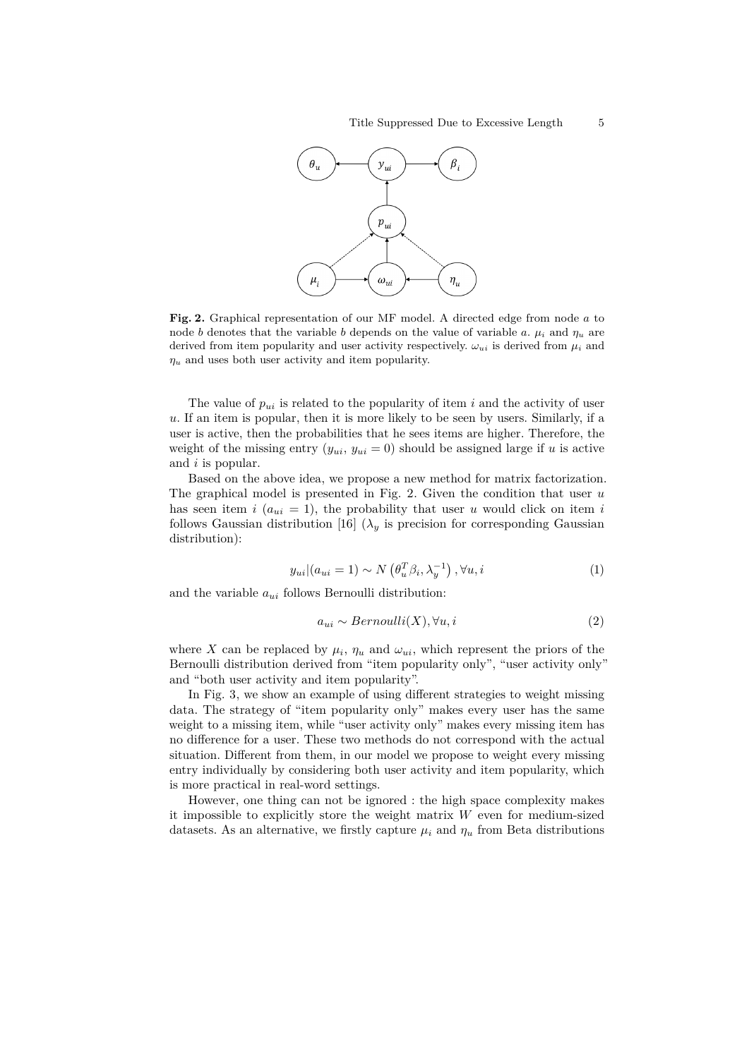<span id="page-4-0"></span>

Fig. 2. Graphical representation of our MF model. A directed edge from node a to node *b* denotes that the variable *b* depends on the value of variable *a*.  $\mu_i$  and  $\eta_u$  are derived from item popularity and user activity respectively.  $\omega_{ui}$  is derived from  $\mu_i$  and  $\eta_u$  and uses both user activity and item popularity.

The value of  $p_{ui}$  is related to the popularity of item i and the activity of user  $u$ . If an item is popular, then it is more likely to be seen by users. Similarly, if a user is active, then the probabilities that he sees items are higher. Therefore, the weight of the missing entry  $(y_{ui}, y_{ui} = 0)$  should be assigned large if u is active and  $i$  is popular.

Based on the above idea, we propose a new method for matrix factorization. The graphical model is presented in Fig. [2.](#page-4-0) Given the condition that user  $u$ has seen item *i*  $(a_{ui} = 1)$ , the probability that user *u* would click on item *i* follows Gaussian distribution [\[16\]](#page-12-1) ( $\lambda<sub>y</sub>$  is precision for corresponding Gaussian distribution):

$$
y_{ui}|(a_{ui}=1) \sim N\left(\theta_u^T \beta_i, \lambda_y^{-1}\right), \forall u, i \tag{1}
$$

and the variable  $a_{ui}$  follows Bernoulli distribution:

$$
a_{ui} \sim Bernoulli(X), \forall u, i \tag{2}
$$

where X can be replaced by  $\mu_i$ ,  $\eta_u$  and  $\omega_{ui}$ , which represent the priors of the Bernoulli distribution derived from "item popularity only", "user activity only" and "both user activity and item popularity".

In Fig. [3,](#page-5-1) we show an example of using different strategies to weight missing data. The strategy of "item popularity only" makes every user has the same weight to a missing item, while "user activity only" makes every missing item has no difference for a user. These two methods do not correspond with the actual situation. Different from them, in our model we propose to weight every missing entry individually by considering both user activity and item popularity, which is more practical in real-word settings.

However, one thing can not be ignored : the high space complexity makes it impossible to explicitly store the weight matrix  $W$  even for medium-sized datasets. As an alternative, we firstly capture  $\mu_i$  and  $\eta_u$  from Beta distributions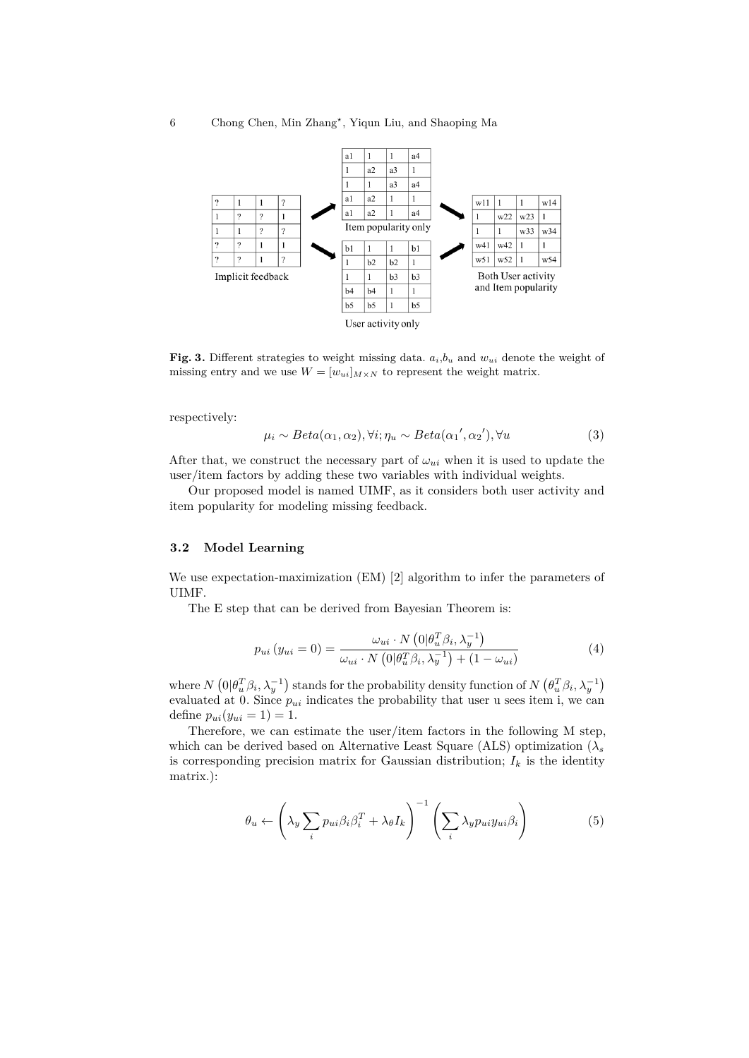<span id="page-5-1"></span>

**Fig. 3.** Different strategies to weight missing data.  $a_i, b_u$  and  $w_{ui}$  denote the weight of missing entry and we use  $W = [w_{ui}]_{M \times N}$  to represent the weight matrix.

respectively:

$$
\mu_i \sim Beta(\alpha_1, \alpha_2), \forall i; \eta_u \sim Beta(\alpha_1', \alpha_2'), \forall u \tag{3}
$$

After that, we construct the necessary part of  $\omega_{ui}$  when it is used to update the user/item factors by adding these two variables with individual weights.

Our proposed model is named UIMF, as it considers both user activity and item popularity for modeling missing feedback.

# <span id="page-5-0"></span>**3.2 Model Learning**

We use expectation-maximization (EM) [\[2\]](#page-11-10) algorithm to infer the parameters of UIMF.

The E step that can be derived from Bayesian Theorem is:

$$
p_{ui}(y_{ui}=0) = \frac{\omega_{ui} \cdot N\left(0|\theta_u^T \beta_i, \lambda_y^{-1}\right)}{\omega_{ui} \cdot N\left(0|\theta_u^T \beta_i, \lambda_y^{-1}\right) + (1 - \omega_{ui})}
$$
(4)

where  $N(0|\theta_u^T\beta_i,\lambda_y^{-1})$  stands for the probability density function of  $N(\theta_u^T\beta_i,\lambda_y^{-1})$ evaluated at 0. Since  $p_{ui}$  indicates the probability that user u sees item i, we can define  $p_{ui}( y_{ui} = 1 ) = 1.$ 

Therefore, we can estimate the user/item factors in the following M step, which can be derived based on Alternative Least Square (ALS) optimization  $(\lambda_s)$ is corresponding precision matrix for Gaussian distribution;  $I_k$  is the identity matrix.):

$$
\theta_u \leftarrow \left(\lambda_y \sum_i p_{ui} \beta_i \beta_i^T + \lambda_\theta I_k\right)^{-1} \left(\sum_i \lambda_y p_{ui} y_{ui} \beta_i\right)
$$
(5)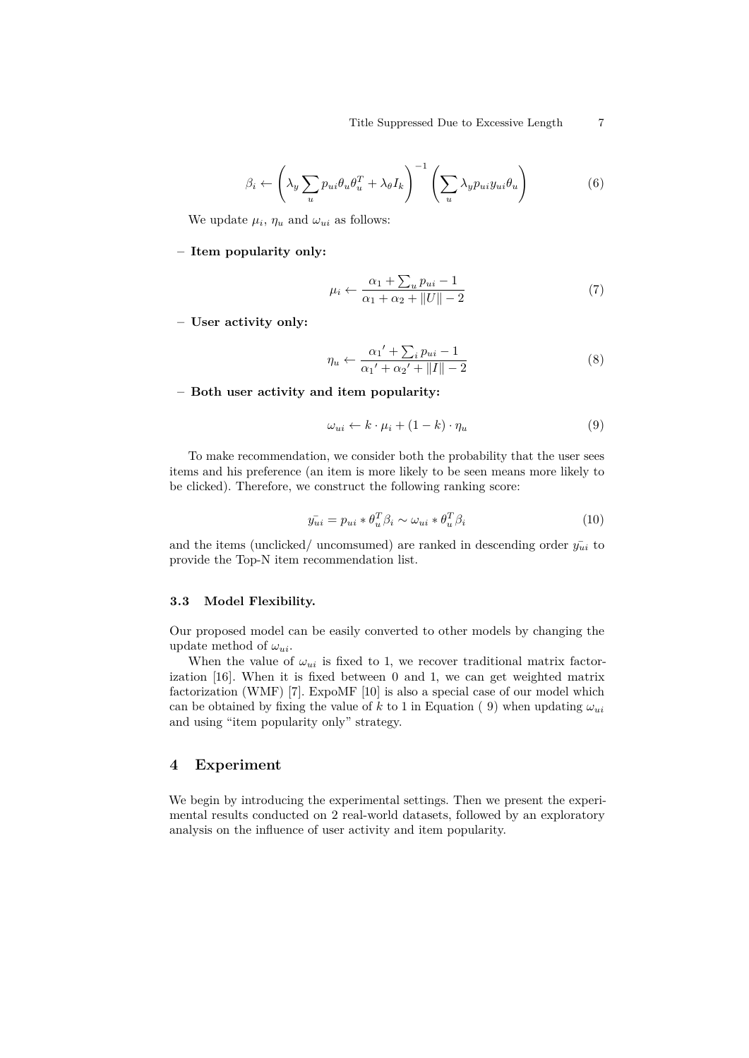$$
\beta_i \leftarrow \left(\lambda_y \sum_u p_{ui} \theta_u \theta_u^T + \lambda_\theta I_k\right)^{-1} \left(\sum_u \lambda_y p_{ui} y_{ui} \theta_u\right)
$$
(6)

We update  $\mu_i$ ,  $\eta_u$  and  $\omega_{ui}$  as follows:

#### **– Item popularity only:**

$$
\mu_i \leftarrow \frac{\alpha_1 + \sum_u p_{ui} - 1}{\alpha_1 + \alpha_2 + ||U|| - 2} \tag{7}
$$

**– User activity only:**

$$
\eta_u \leftarrow \frac{\alpha_1' + \sum_i p_{ui} - 1}{\alpha_1' + \alpha_2' + ||I|| - 2}
$$
\n(8)

## **– Both user activity and item popularity:**

<span id="page-6-2"></span>
$$
\omega_{ui} \leftarrow k \cdot \mu_i + (1 - k) \cdot \eta_u \tag{9}
$$

To make recommendation, we consider both the probability that the user sees items and his preference (an item is more likely to be seen means more likely to be clicked). Therefore, we construct the following ranking score:

$$
\bar{y_{ui}} = p_{ui} * \theta_u^T \beta_i \sim \omega_{ui} * \theta_u^T \beta_i \tag{10}
$$

and the items (unclicked/ uncomsumed) are ranked in descending order  $\bar{y_{ui}}$  to provide the Top-N item recommendation list.

#### <span id="page-6-1"></span>**3.3 Model Flexibility.**

Our proposed model can be easily converted to other models by changing the update method of  $\omega_{ui}$ .

When the value of  $\omega_{ui}$  is fixed to 1, we recover traditional matrix factorization [\[16\]](#page-12-1). When it is fixed between 0 and 1, we can get weighted matrix factorization (WMF) [\[7\]](#page-11-1). ExpoMF [\[10\]](#page-11-3) is also a special case of our model which can be obtained by fixing the value of k to 1 in Equation ([9\)](#page-6-2) when updating  $\omega_{ui}$ and using "item popularity only" strategy.

## <span id="page-6-0"></span>**4 Experiment**

We begin by introducing the experimental settings. Then we present the experimental results conducted on 2 real-world datasets, followed by an exploratory analysis on the influence of user activity and item popularity.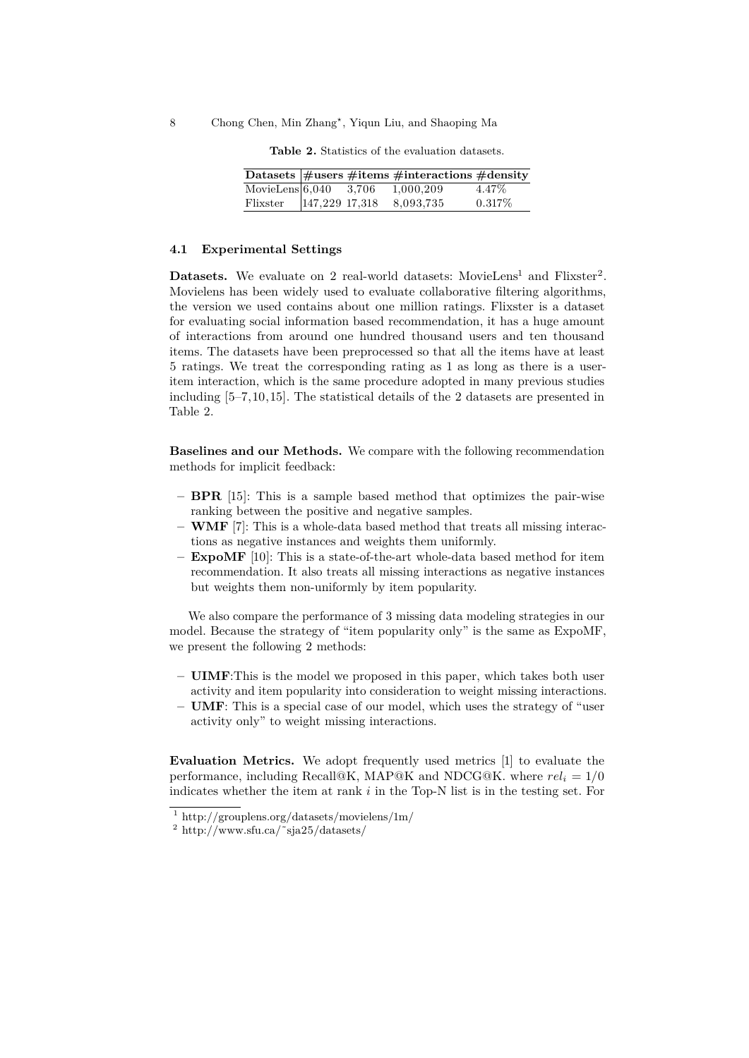#### <span id="page-7-2"></span>8 Chong Chen, Min Zhang<sup>\*</sup>, Yiqun Liu, and Shaoping Ma

|                 |                |         | Datasets $ \# \text{users} \# \text{items} \# \text{interactions} \# \text{density}$ |           |
|-----------------|----------------|---------|--------------------------------------------------------------------------------------|-----------|
| MovieLens 6,040 |                | - 3,706 | 1,000,209                                                                            | 4.47\%    |
| Flixster        | 147,229,17,318 |         | 8,093,735                                                                            | $0.317\%$ |

**Table 2.** Statistics of the evaluation datasets.

#### **4.1 Experimental Settings**

**Datasets.** We evaluate on 2 real-world datasets: MovieLens<sup>[1](#page-7-0)</sup> and Flixster<sup>[2](#page-7-1)</sup>. Movielens has been widely used to evaluate collaborative filtering algorithms, the version we used contains about one million ratings. Flixster is a dataset for evaluating social information based recommendation, it has a huge amount of interactions from around one hundred thousand users and ten thousand items. The datasets have been preprocessed so that all the items have at least 5 ratings. We treat the corresponding rating as 1 as long as there is a useritem interaction, which is the same procedure adopted in many previous studies including [\[5–](#page-11-11)[7,](#page-11-1) [10,](#page-11-3) [15\]](#page-12-0). The statistical details of the 2 datasets are presented in Table [2.](#page-7-2)

**Baselines and our Methods.** We compare with the following recommendation methods for implicit feedback:

- **– BPR** [\[15\]](#page-12-0): This is a sample based method that optimizes the pair-wise ranking between the positive and negative samples.
- **– WMF** [\[7\]](#page-11-1): This is a whole-data based method that treats all missing interactions as negative instances and weights them uniformly.
- **– ExpoMF** [\[10\]](#page-11-3): This is a state-of-the-art whole-data based method for item recommendation. It also treats all missing interactions as negative instances but weights them non-uniformly by item popularity.

We also compare the performance of 3 missing data modeling strategies in our model. Because the strategy of "item popularity only" is the same as ExpoMF, we present the following 2 methods:

- **– UIMF**:This is the model we proposed in this paper, which takes both user activity and item popularity into consideration to weight missing interactions.
- **– UMF**: This is a special case of our model, which uses the strategy of "user activity only" to weight missing interactions.

**Evaluation Metrics.** We adopt frequently used metrics [\[1\]](#page-11-12) to evaluate the performance, including Recall@K, MAP@K and NDCG@K. where  $rel_i = 1/0$ indicates whether the item at rank  $i$  in the Top-N list is in the testing set. For

<span id="page-7-0"></span><sup>1</sup> http://grouplens.org/datasets/movielens/1m/

<span id="page-7-1"></span><sup>2</sup> http://www.sfu.ca/˜sja25/datasets/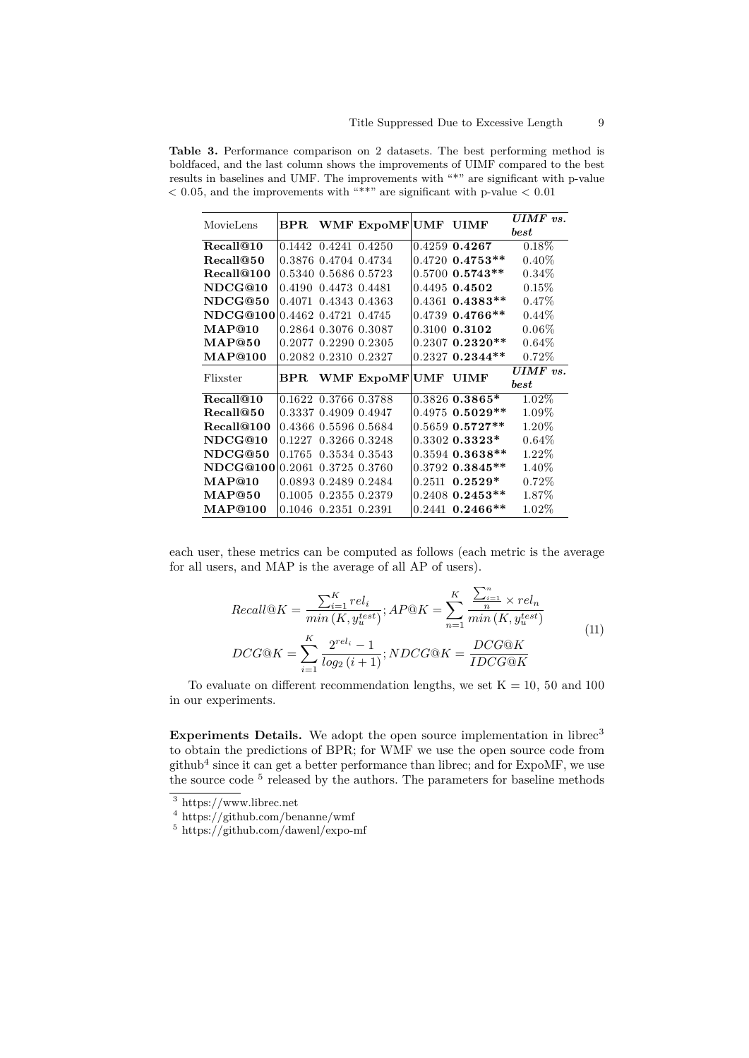<span id="page-8-3"></span>**Table 3.** Performance comparison on 2 datasets. The best performing method is boldfaced, and the last column shows the improvements of UIMF compared to the best results in baselines and UMF. The improvements with "\*" are significant with p-value  $<$  0.05, and the improvements with "\*\*" are significant with p-value  $<$  0.01  $\,$ 

| MovieLens             |              |                      |                                |                     | $UIMF$ vs. |
|-----------------------|--------------|----------------------|--------------------------------|---------------------|------------|
|                       |              |                      | <b>BPR WMF ExpoMF UMF UIMF</b> |                     | best       |
| Recall@10             |              | 0.1442 0.4241 0.4250 |                                | $0.4259$ 0.4267     | $0.18\%$   |
| Recall@50             |              | 0.3876 0.4704 0.4734 |                                | $0.4720$ 0.4753**   | $0.40\%$   |
| Recall@100            |              | 0.5340 0.5686 0.5723 |                                | $0.5700$ $0.5743**$ | 0.34%      |
| NDCG@10               |              | 0.4190 0.4473 0.4481 |                                | 0.4495 0.4502       | $0.15\%$   |
| NDCG@50               |              | 0.4071 0.4343 0.4363 |                                | $0.4361$ 0.4383**   | $0.47\%$   |
| NDCG@100              |              | 0.4462 0.4721 0.4745 |                                | $0.4739$ 0.4766**   | $0.44\%$   |
| MAP@10                |              | 0.2864 0.3076 0.3087 |                                | $0.3100$ $0.3102$   | $0.06\%$   |
| MAP@50                |              | 0.2077 0.2290 0.2305 |                                | $0.2307$ $0.2320**$ | 0.64%      |
| MAP@100               |              | 0.2082 0.2310 0.2327 |                                | $0.2327$ $0.2344**$ | 0.72%      |
|                       |              |                      |                                |                     |            |
|                       |              |                      |                                |                     | $UIMF$ vs. |
| Flixster              | $_{\rm BPR}$ |                      | WMF ExpoMF UMF UIMF            |                     | best       |
| Recall <sup>@10</sup> |              | 0.1622 0.3766 0.3788 |                                | $0.3826$ $0.3865*$  | $1.02\%$   |
| Recall@50             |              | 0.3337 0.4909 0.4947 |                                | $0.4975$ 0.5029**   | $1.09\%$   |
| Recall@100            |              | 0.4366 0.5596 0.5684 |                                | $0.5659$ $0.5727**$ | $1.20\%$   |
| NDCG@10               |              | 0.1227 0.3266 0.3248 |                                | $0.3302$ $0.3323*$  | 0.64%      |
| NDCG@50               |              | 0.1765 0.3534 0.3543 |                                | $0.3594$ $0.3638**$ | 1.22%      |
| NDCG@100              |              | 0.2061 0.3725 0.3760 |                                | $0.3792$ 0.3845**   | $1.40\%$   |
| MAP@10                |              | 0.0893 0.2489 0.2484 |                                | $0.2511$ $0.2529*$  | 0.72%      |
| MAP@50                |              | 0.1005 0.2355 0.2379 |                                | $0.2408$ $0.2453**$ | 1.87%      |

each user, these metrics can be computed as follows (each metric is the average for all users, and MAP is the average of all AP of users).

$$
Recall@K = \frac{\sum_{i=1}^{K} rel_i}{min(K, y_u^{test})}; AP@K = \sum_{n=1}^{K} \frac{\sum_{i=1}^{n} \times rel_n}{min(K, y_u^{test})}
$$
  

$$
DCG@K = \sum_{i=1}^{K} \frac{2^{rel_i} - 1}{log_2(i+1)}; NDCG@K = \frac{DCG@K}{IDCG@K}
$$
 (11)

To evaluate on different recommendation lengths, we set  $K = 10, 50$  and 100 in our experiments.

**Experiments Details.** We adopt the open source implementation in librec<sup>[3](#page-8-0)</sup> to obtain the predictions of BPR; for WMF we use the open source code from github[4](#page-8-1) since it can get a better performance than librec; and for ExpoMF, we use the source code  $5$  released by the authors. The parameters for baseline methods

<span id="page-8-0"></span><sup>3</sup> https://www.librec.net

<span id="page-8-1"></span><sup>4</sup> https://github.com/benanne/wmf

<span id="page-8-2"></span><sup>5</sup> https://github.com/dawenl/expo-mf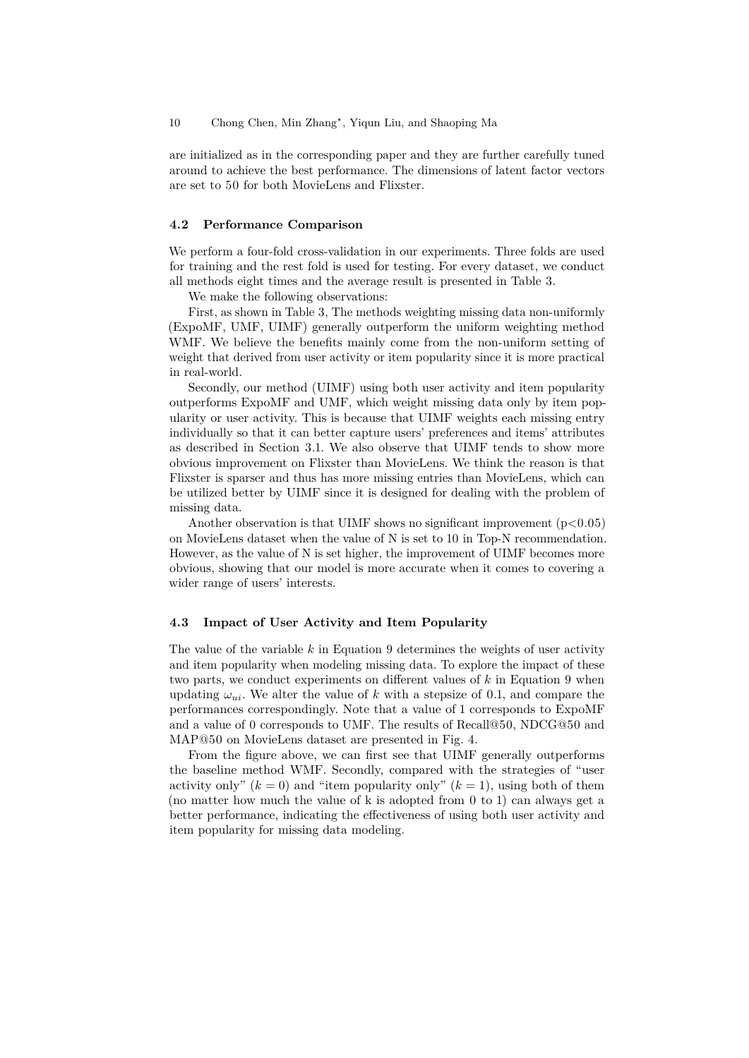are initialized as in the corresponding paper and they are further carefully tuned around to achieve the best performance. The dimensions of latent factor vectors are set to 50 for both MovieLens and Flixster.

#### **4.2 Performance Comparison**

We perform a four-fold cross-validation in our experiments. Three folds are used for training and the rest fold is used for testing. For every dataset, we conduct all methods eight times and the average result is presented in Table [3.](#page-8-3)

We make the following observations:

First, as shown in Table [3,](#page-8-3) The methods weighting missing data non-uniformly (ExpoMF, UMF, UIMF) generally outperform the uniform weighting method WMF. We believe the benefits mainly come from the non-uniform setting of weight that derived from user activity or item popularity since it is more practical in real-world.

Secondly, our method (UIMF) using both user activity and item popularity outperforms ExpoMF and UMF, which weight missing data only by item popularity or user activity. This is because that UIMF weights each missing entry individually so that it can better capture users' preferences and items' attributes as described in Section [3.1.](#page-3-1) We also observe that UIMF tends to show more obvious improvement on Flixster than MovieLens. We think the reason is that Flixster is sparser and thus has more missing entries than MovieLens, which can be utilized better by UIMF since it is designed for dealing with the problem of missing data.

Another observation is that UIMF shows no significant improvement  $(p<0.05)$ on MovieLens dataset when the value of N is set to 10 in Top-N recommendation. However, as the value of N is set higher, the improvement of UIMF becomes more obvious, showing that our model is more accurate when it comes to covering a wider range of users' interests.

#### **4.3 Impact of User Activity and Item Popularity**

The value of the variable  $k$  in Equation [9](#page-6-2) determines the weights of user activity and item popularity when modeling missing data. To explore the impact of these two parts, we conduct experiments on different values of  $k$  in Equation [9](#page-6-2) when updating  $\omega_{ui}$ . We alter the value of k with a stepsize of 0.1, and compare the performances correspondingly. Note that a value of 1 corresponds to ExpoMF and a value of 0 corresponds to UMF. The results of Recall@50, NDCG@50 and MAP@50 on MovieLens dataset are presented in Fig. [4.](#page-10-1)

From the figure above, we can first see that UIMF generally outperforms the baseline method WMF. Secondly, compared with the strategies of "user activity only"  $(k = 0)$  and "item popularity only"  $(k = 1)$ , using both of them (no matter how much the value of k is adopted from 0 to 1) can always get a better performance, indicating the effectiveness of using both user activity and item popularity for missing data modeling.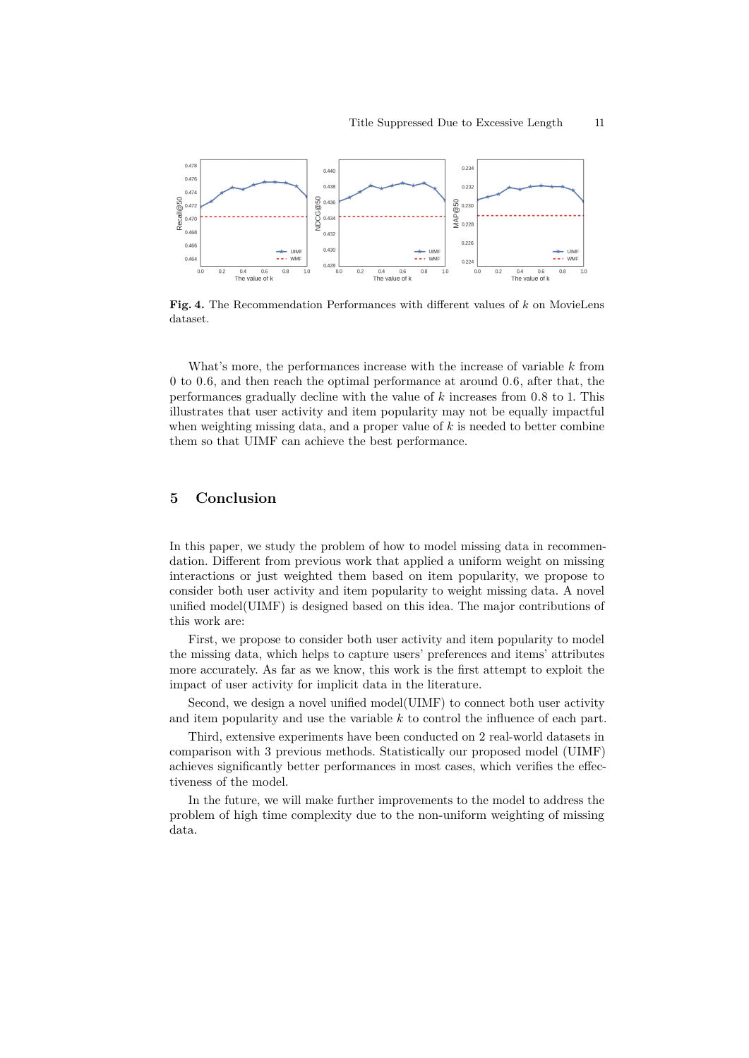<span id="page-10-1"></span>

**Fig. 4.** The Recommendation Performances with different values of  $k$  on MovieLens dataset.

What's more, the performances increase with the increase of variable  $k$  from 0 to 0.6, and then reach the optimal performance at around 0.6, after that, the performances gradually decline with the value of  $k$  increases from 0.8 to 1. This illustrates that user activity and item popularity may not be equally impactful when weighting missing data, and a proper value of  $k$  is needed to better combine them so that UIMF can achieve the best performance.

# <span id="page-10-0"></span>**5 Conclusion**

In this paper, we study the problem of how to model missing data in recommendation. Different from previous work that applied a uniform weight on missing interactions or just weighted them based on item popularity, we propose to consider both user activity and item popularity to weight missing data. A novel unified model(UIMF) is designed based on this idea. The major contributions of this work are:

First, we propose to consider both user activity and item popularity to model the missing data, which helps to capture users' preferences and items' attributes more accurately. As far as we know, this work is the first attempt to exploit the impact of user activity for implicit data in the literature.

Second, we design a novel unified model(UIMF) to connect both user activity and item popularity and use the variable  $k$  to control the influence of each part.

Third, extensive experiments have been conducted on 2 real-world datasets in comparison with 3 previous methods. Statistically our proposed model (UIMF) achieves significantly better performances in most cases, which verifies the effectiveness of the model.

In the future, we will make further improvements to the model to address the problem of high time complexity due to the non-uniform weighting of missing data.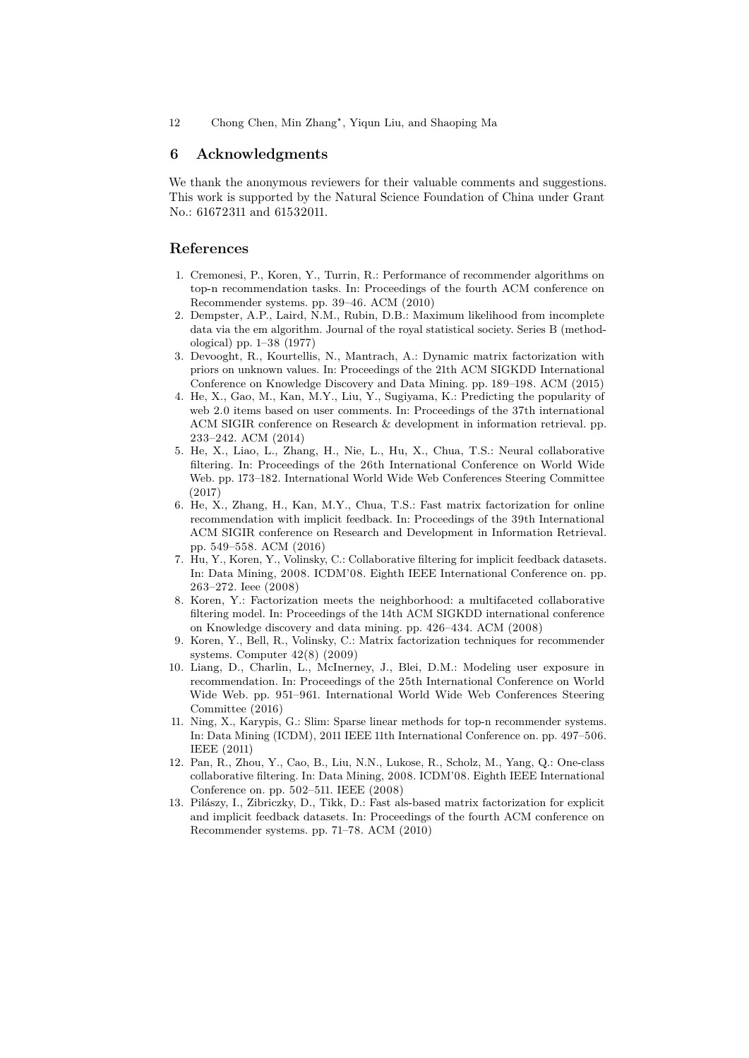12 Chong Chen, Min Zhang<sup>\*</sup>, Yiqun Liu, and Shaoping Ma

#### **6 Acknowledgments**

We thank the anonymous reviewers for their valuable comments and suggestions. This work is supported by the Natural Science Foundation of China under Grant No.: 61672311 and 61532011.

## **References**

- <span id="page-11-12"></span>1. Cremonesi, P., Koren, Y., Turrin, R.: Performance of recommender algorithms on top-n recommendation tasks. In: Proceedings of the fourth ACM conference on Recommender systems. pp. 39–46. ACM (2010)
- <span id="page-11-10"></span>2. Dempster, A.P., Laird, N.M., Rubin, D.B.: Maximum likelihood from incomplete data via the em algorithm. Journal of the royal statistical society. Series B (methodological) pp. 1–38 (1977)
- <span id="page-11-8"></span>3. Devooght, R., Kourtellis, N., Mantrach, A.: Dynamic matrix factorization with priors on unknown values. In: Proceedings of the 21th ACM SIGKDD International Conference on Knowledge Discovery and Data Mining. pp. 189–198. ACM (2015)
- <span id="page-11-4"></span>4. He, X., Gao, M., Kan, M.Y., Liu, Y., Sugiyama, K.: Predicting the popularity of web 2.0 items based on user comments. In: Proceedings of the 37th international ACM SIGIR conference on Research & development in information retrieval. pp. 233–242. ACM (2014)
- <span id="page-11-11"></span>5. He, X., Liao, L., Zhang, H., Nie, L., Hu, X., Chua, T.S.: Neural collaborative filtering. In: Proceedings of the 26th International Conference on World Wide Web. pp. 173–182. International World Wide Web Conferences Steering Committee (2017)
- <span id="page-11-0"></span>6. He, X., Zhang, H., Kan, M.Y., Chua, T.S.: Fast matrix factorization for online recommendation with implicit feedback. In: Proceedings of the 39th International ACM SIGIR conference on Research and Development in Information Retrieval. pp. 549–558. ACM (2016)
- <span id="page-11-1"></span>7. Hu, Y., Koren, Y., Volinsky, C.: Collaborative filtering for implicit feedback datasets. In: Data Mining, 2008. ICDM'08. Eighth IEEE International Conference on. pp. 263–272. Ieee (2008)
- <span id="page-11-6"></span>8. Koren, Y.: Factorization meets the neighborhood: a multifaceted collaborative filtering model. In: Proceedings of the 14th ACM SIGKDD international conference on Knowledge discovery and data mining. pp. 426–434. ACM (2008)
- <span id="page-11-5"></span>9. Koren, Y., Bell, R., Volinsky, C.: Matrix factorization techniques for recommender systems. Computer 42(8) (2009)
- <span id="page-11-3"></span>10. Liang, D., Charlin, L., McInerney, J., Blei, D.M.: Modeling user exposure in recommendation. In: Proceedings of the 25th International Conference on World Wide Web. pp. 951–961. International World Wide Web Conferences Steering Committee (2016)
- <span id="page-11-7"></span>11. Ning, X., Karypis, G.: Slim: Sparse linear methods for top-n recommender systems. In: Data Mining (ICDM), 2011 IEEE 11th International Conference on. pp. 497–506. IEEE (2011)
- <span id="page-11-2"></span>12. Pan, R., Zhou, Y., Cao, B., Liu, N.N., Lukose, R., Scholz, M., Yang, Q.: One-class collaborative filtering. In: Data Mining, 2008. ICDM'08. Eighth IEEE International Conference on. pp. 502–511. IEEE (2008)
- <span id="page-11-9"></span>13. Pilászy, I., Zibriczky, D., Tikk, D.: Fast als-based matrix factorization for explicit and implicit feedback datasets. In: Proceedings of the fourth ACM conference on Recommender systems. pp. 71–78. ACM (2010)